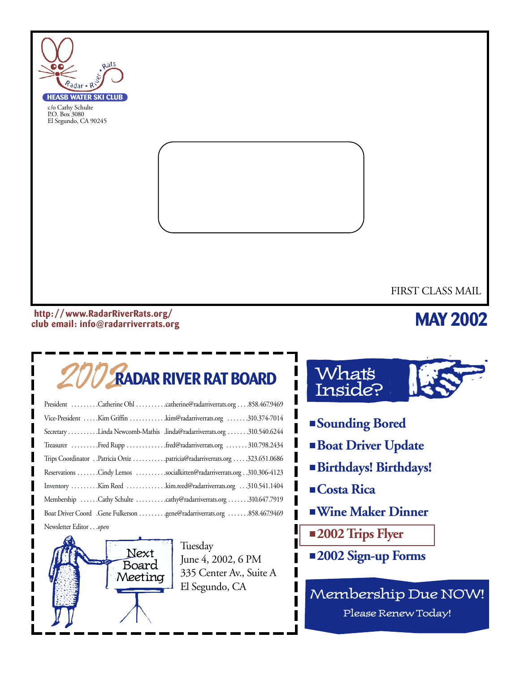

#### **http: //www.RadarRiverRats.org/ club email: info@radarriverrats.org**

### **MAY 2002**

# 2002**RADAR RIVER RAT BOARD**

| President Catherine Ohl catherine@radarriverrats.org858.467.9469          |
|---------------------------------------------------------------------------|
| Vice-President Kim Griffin kim@radarriverrats.org 310.374-7014            |
| Secretary Linda Newcomb-Mathis .linda@radarriverrats.org 310.540.6244     |
| Treasurer Fred Rupp fred@radarriverrats.org  310.798.2434                 |
| Trips Coordinator Patricia Ortiz patricia@radarriverrats.org 323.651.0686 |
| Reservations Cindy Lemos socialkitten@radarriverrats.org 310.306-4123     |
| Inventory Kim Reed kim.reed@radarriverrats.org 310.541.1404               |
| Membership Cathy Schulte cathy@radarriverrats.org 310.647.7919            |
| Boat Driver Coord .Gene Fulkerson gene@radarriverrats.org 858.467.9469    |
| Newsletter Editoropen                                                     |



Tuesday June 4, 2002, 6 PM 335 Center Av., Suite A El Segundo, CA



- **Sounding Bored**
- **Boat Driver Update**
- **Birthdays! Birthdays!**
- **Costa Rica**
- ■**Wine Maker Dinner**
- **2002 Trips Flyer**
- **2002 Sign-up Forms**

Membership Due NOW! Please Renew Today!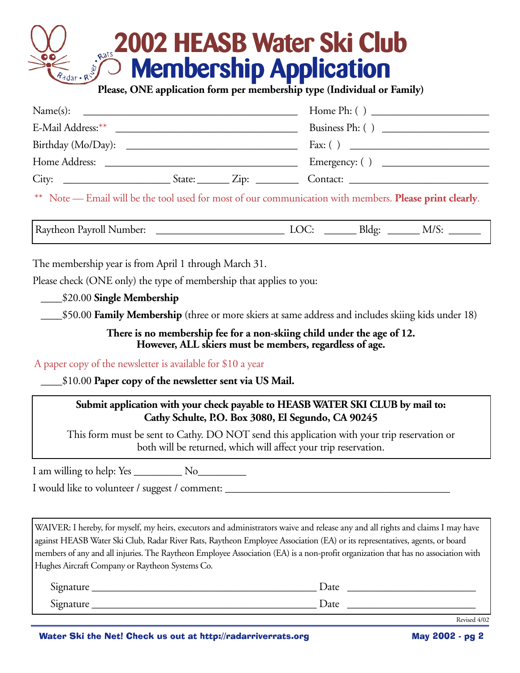# **2002 HEASB Water Ski Club Membership Application Please, ONE application form per membership type (Individual or Family)**

| Name(s):                                                                                                                              |                               |                    |
|---------------------------------------------------------------------------------------------------------------------------------------|-------------------------------|--------------------|
|                                                                                                                                       |                               | Business Ph: $( )$ |
| Birthday (Mo/Day):                                                                                                                    |                               |                    |
| Home Address:<br><u> 2000 - 2000 - 2000 - 2000 - 2000 - 2000 - 2000 - 2000 - 2000 - 2000 - 2000 - 2000 - 2000 - 2000 - 2000 - 200</u> |                               | Emergency: $( )$   |
|                                                                                                                                       | State: $\angle$ Zip: $\angle$ | Contact:           |

\*\* Note — Email will be the tool used for most of our communication with members. **Please print clearly**.

Raytheon Payroll Number: \_\_\_\_\_\_\_\_\_\_\_\_\_\_\_\_\_\_\_\_\_\_\_\_ LOC: \_\_\_\_\_\_ Bldg: \_\_\_\_\_\_ M/S: \_\_\_\_\_\_

The membership year is from April 1 through March 31.

Please check (ONE only) the type of membership that applies to you:

\_\_\_\_\$20.00 **Single Membership**

\_\_\_\_\$50.00 **Family Membership** (three or more skiers at same address and includes skiing kids under 18)

**There is no membership fee for a non-skiing child under the age of 12. However, ALL skiers must be members, regardless of age.**

A paper copy of the newsletter is available for \$10 a year

\_\_\_\_\$10.00 **Paper copy of the newsletter sent via US Mail.**

#### **Submit application with your check payable to HEASB WATER SKI CLUB by mail to: Cathy Schulte, P.O. Box 3080, El Segundo, CA 90245**

This form must be sent to Cathy. DO NOT send this application with your trip reservation or both will be returned, which will affect your trip reservation.

I am willing to help: Yes \_\_\_\_\_\_\_\_\_ No\_\_\_\_\_\_\_\_\_

I would like to volunteer / suggest / comment:

WAIVER: I hereby, for myself, my heirs, executors and administrators waive and release any and all rights and claims I may have against HEASB Water Ski Club, Radar River Rats, Raytheon Employee Association (EA) or its representatives, agents, or board members of any and all injuries. The Raytheon Employee Association (EA) is a non-profit organization that has no association with Hughes Aircraft Company or Raytheon Systems Co.

| r.<br>$1 - 1 - 1 = 1$ | Date |
|-----------------------|------|
| r.                    | Date |

Revised 4/02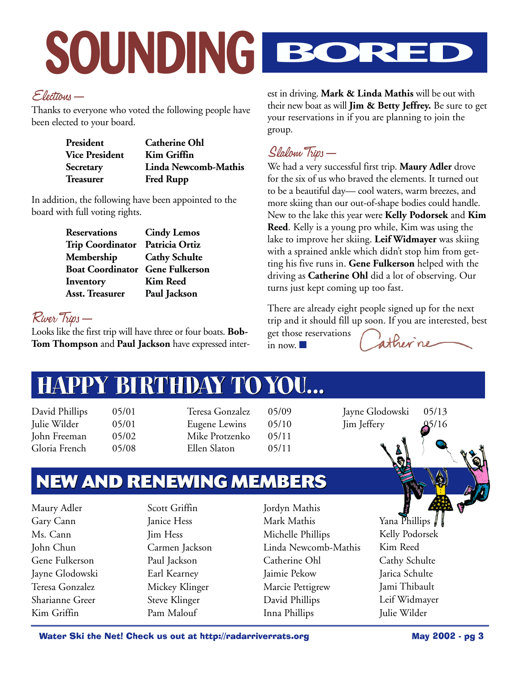# **SOUNDING BORED**

#### Elections—

Thanks to everyone who voted the following people have been elected to your board.

| President             | <b>Catherine Ohl</b> |
|-----------------------|----------------------|
| <b>Vice President</b> | Kim Griffin          |
| Secretary             | Linda Newcomb-Mathis |
| Treasurer             | <b>Fred Rupp</b>     |

In addition, the following have been appointed to the board with full voting rights.

| <b>Reservations</b>                    | <b>Cindy Lemos</b>   |
|----------------------------------------|----------------------|
| <b>Trip Coordinator</b>                | Patricia Ortiz       |
| Membership                             | <b>Cathy Schulte</b> |
| <b>Boat Coordinator Gene Fulkerson</b> |                      |
| Inventory                              | <b>Kim Reed</b>      |
| <b>Asst. Treasurer</b>                 | Paul Jackson         |

River Trips—

Looks like the first trip will have three or four boats. **Bob-Tom Thompson** and **Paul Jackson** have expressed interest in driving. **Mark & Linda Mathis** will be out with their new boat as will **Jim & Betty Jeffrey.** Be sure to get your reservations in if you are planning to join the group.

#### Slalom Trips—

We had a very successful first trip. **Maury Adler** drove for the six of us who braved the elements. It turned out to be a beautiful day— cool waters, warm breezes, and more skiing than our out-of-shape bodies could handle. New to the lake this year were **Kelly Podorsek** and **Kim Reed**. Kelly is a young pro while, Kim was using the lake to improve her skiing. **Leif Widmayer** was skiing with a sprained ankle which didn't stop him from getting his five runs in. **Gene Fulkerson** helped with the driving as **Catherine Ohl** did a lot of observing. Our turns just kept coming up too fast.

There are already eight people signed up for the next trip and it should fill up soon. If you are interested, best get those reservations atherne in now.

# **HAPPY BIRTHDAY TOYOU... HAPPY BIRTHDAY TOYOU...**

David Phillips 05/01 Julie Wilder 05/01 John Freeman 05/02 Gloria French 05/08

Teresa Gonzalez 05/09 Eugene Lewins 05/10 Mike Protzenko 05/11 Ellen Slaton 05/11

Jayne Glodowski 05/13 Jim Jeffery 05/16



# **NEW AND RENEWING MEMBERS**

Maury Adler Gary Cann Ms. Cann John Chun Gene Fulkerson Jayne Glodowski Teresa Gonzalez Sharianne Greer Kim Griffin

Scott Griffin Janice Hess Jim Hess Carmen Jackson Paul Jackson Earl Kearney Mickey Klinger Steve Klinger Pam Malouf

Jordyn Mathis Mark Mathis Michelle Phillips Linda Newcomb-Mathis Catherine Ohl Jaimie Pekow Marcie Pettigrew David Phillips Inna Phillips

Yana Phillips Kelly Podorsek Kim Reed Cathy Schulte Jarica Schulte Jami Thibault Leif Widmayer Julie Wilder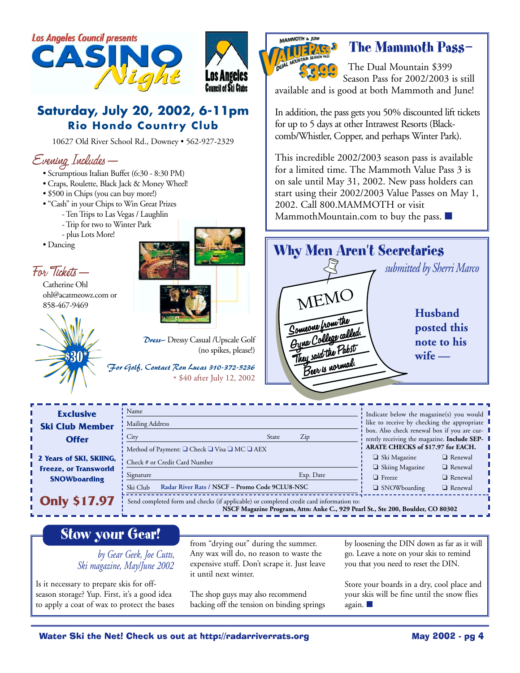

#### **Saturday, July 20, 2002, 6-11pm Rio Hondo Country Club**

10627 Old River School Rd., Downey • 562-927-2329

#### Evening Includes—

- Scrumptious Italian Buffet (6:30 8:30 PM)
- Craps, Roulette, Black Jack & Money Wheel!
- \$500 in Chips (you can buy more!)
- "Cash" in your Chips to Win Great Prizes
	- Ten Trips to Las Vegas / Laughlin
		- Trip for two to Winter Park
		- plus Lots More!
- Dancing

#### For Tickets—

Catherine Ohl ohl@acatmeowz.com or 858-467-9469





*Dress—* Dressy Casual /Upscale Golf (no spikes, please!)

*For Golf, Contact Ron Lucas 310-372-5236* \* \$40 after July 12, 2002



#### **The Mammoth Pass—**

The Dual Mountain \$399 Season Pass for 2002/2003 is still available and is good at both Mammoth and June!

In addition, the pass gets you 50% discounted lift tickets for up to 5 days at other Intrawest Resorts (Blackcomb/Whistler, Copper, and perhaps Winter Park).

This incredible 2002/2003 season pass is available for a limited time. The Mammoth Value Pass 3 is on sale until May 31, 2002. New pass holders can start using their 2002/2003 Value Passes on May 1, 2002. Call 800.MAMMOTH or visit MammothMountain.com to buy the pass. ■



| <b>Exclusive</b>             | Name                                                                                                                                                                       | Indicate below the magazine(s) you would                                                   |  |  |  |
|------------------------------|----------------------------------------------------------------------------------------------------------------------------------------------------------------------------|--------------------------------------------------------------------------------------------|--|--|--|
| <b>Ski Club Member</b>       | Mailing Address                                                                                                                                                            | like to receive by checking the appropriate                                                |  |  |  |
| <b>Offer</b>                 | $\mathop{\mathrm{Zip}}$<br>City<br>State                                                                                                                                   | box. Also check renewal box if you are cur-<br>rently receiving the magazine. Include SEP- |  |  |  |
|                              | Method of Payment: □ Check □ Visa □ MC □ AEX                                                                                                                               | ARATE CHECKS of \$17.97 for EACH.                                                          |  |  |  |
| 2 Years of SKI, SKIING,      | Check # or Credit Card Number                                                                                                                                              | $\Box$ Ski Magazine<br>$\Box$ Renewal                                                      |  |  |  |
| <b>Freeze, or Transworld</b> |                                                                                                                                                                            | □ Skiing Magazine<br>$\Box$ Renewal                                                        |  |  |  |
| <b>SNOWboarding</b>          | Signature<br>Exp. Date                                                                                                                                                     | $\Box$ Renewal<br>$\Box$ Freeze                                                            |  |  |  |
|                              | Radar River Rats / NSCF - Promo Code 9CLU8-NSC<br>Ski Club                                                                                                                 | $\Box$ SNOWboarding<br>$\Box$ Renewal                                                      |  |  |  |
| <b>Only \$17.97</b>          | Send completed form and checks (if applicable) or completed credit card information to:<br>NSCF Magazine Program, Attn: Anke C., 929 Pearl St., Ste 200, Boulder, CO 80302 |                                                                                            |  |  |  |

#### **Stow your Gear!**

#### *by Gear Geek, Joe Cutts, Ski magazine, May/June 2002*

Is it necessary to prepare skis for offseason storage? Yup. First, it's a good idea to apply a coat of wax to protect the bases from "drying out" during the summer. Any wax will do, no reason to waste the expensive stuff. Don't scrape it. Just leave it until next winter.

The shop guys may also recommend backing off the tension on binding springs by loosening the DIN down as far as it will go. Leave a note on your skis to remind you that you need to reset the DIN.

Store your boards in a dry, cool place and your skis will be fine until the snow flies again. ■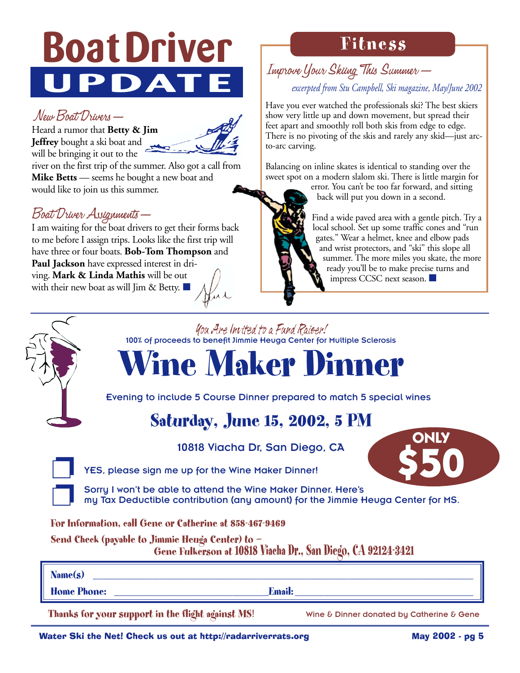# **Boat Driver UPDATE**

#### New Boat Drivers—

Heard a rumor that **Betty & Jim Jeffrey** bought a ski boat and will be bringing it out to the



river on the first trip of the summer. Also got a call from **Mike Betts** — seems he bought a new boat and would like to join us this summer.

#### Boat Driver Assignments—

I am waiting for the boat drivers to get their forms back to me before I assign trips. Looks like the first trip will have three or four boats. **Bob-Tom Thompson** and **Paul Jackson** have expressed interest in driving. **Mark & Linda Mathis** will be out with their new boat as will Jim & Betty.

# **Fitness**

#### Improve Your Skiing This Summer *excerpted from Stu Campbell, Ski magazine, May/June 2002*

Have you ever watched the professionals ski? The best skiers show very little up and down movement, but spread their feet apart and smoothly roll both skis from edge to edge. There is no pivoting of the skis and rarely any skid—just arcto-arc carving.

Balancing on inline skates is identical to standing over the sweet spot on a modern slalom ski. There is little margin for

error. You can't be too far forward, and sitting back will put you down in a second.

Find a wide paved area with a gentle pitch. Try a local school. Set up some traffic cones and "run gates." Wear a helmet, knee and elbow pads and wrist protectors, and "ski" this slope all summer. The more miles you skate, the more ready you'll be to make precise turns and impress CCSC next season. ■

#### You Are Invited to a Fund Raiser! 100% of proceeds to benefit Jimmie Heuga Center for Multiple Sclerosis **Wine Maker Dinner** Evening to include 5 Course Dinner prepared to match 5 special wines **Saturday, June 15, 2002, 5 PM** 10818 Viacha Dr, San Diego, CA YES, please sign me up for the Wine Maker Dinner! Sorry I won't be able to attend the Wine Maker Dinner. Here's my Tax Deductible contribution (any amount) for the Jimmie Heuga Center for MS. **For Information, call Gene or Catherine at 858-467-9469 Send Check (payable to Jimmie Heuga Center) to — Gene Fulkerson at 10818 Viacha Dr., San Diego, CA 92124-3421 Name(s) \_\_\_\_\_\_\_\_\_\_\_\_\_\_\_\_\_\_\_\_\_\_\_\_\_\_\_\_\_\_\_\_\_\_\_\_\_\_\_\_\_\_\_\_\_\_\_\_\_\_\_\_\_\_\_\_\_\_\_\_\_\_\_\_ ONLY \$50**

**Home Phone: \_\_\_\_\_\_\_\_\_\_\_\_\_\_\_\_\_\_\_\_\_\_\_\_\_\_Email: \_\_\_\_\_\_\_\_\_\_\_\_\_\_\_\_\_\_\_\_\_\_\_\_\_\_\_\_\_\_**

Thanks for your support in the flight against MS! Wine & Dinner donated by Catherine & Gene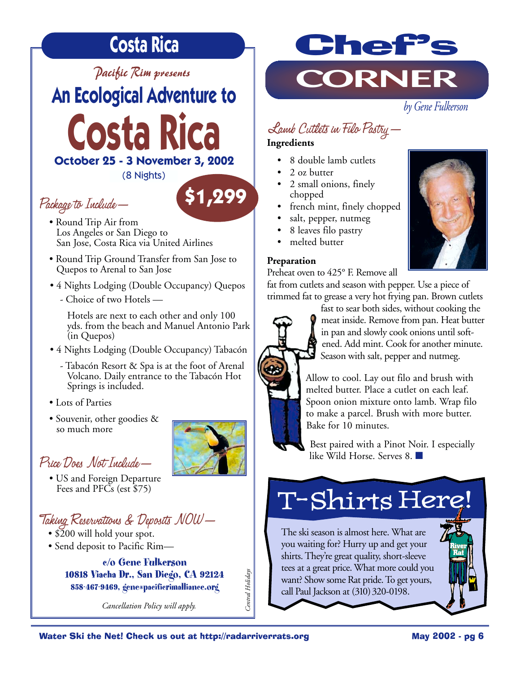# **Costa Rica**

#### *Pacific Rim presents*

*by Gene Fulkerson* **An Ecological Adventure to** 

**Costa Rica October 25 - 3 November 3, 2002**

(8 Nights)

**\$1,299**

### Package to Include—

- Round Trip Air from Los Angeles or San Diego to San Jose, Costa Rica via United Airlines
- Round Trip Ground Transfer from San Jose to Quepos to Arenal to San Jose
- 4 Nights Lodging (Double Occupancy) Quepos
	- Choice of two Hotels —

Hotels are next to each other and only 100 yds. from the beach and Manuel Antonio Park (in Quepos)

- 4 Nights Lodging (Double Occupancy) Tabacón
	- Tabacón Resort & Spa is at the foot of Arenal Volcano. Daily entrance to the Tabacón Hot Springs is included.
- Lots of Parties
- Souvenir, other goodies & so much more



• US and Foreign Departure Fees and PFCs (est \$75)

### Taking Reservations & Deposits NOW—

- \$200 will hold your spot.
- Send deposit to Pacific Rim—

**c/o Gene Fulkerson 10818 Viacha Dr., San Diego, CA 92124 858-467-9469, gene@pacificrimalliance.org**

*Cancellation Policy will apply.* 



## Lamb Cutlets in Filo Pastry—

#### **Ingredients**

- 8 double lamb cutlets
- 2 oz butter
- 2 small onions, finely chopped
- french mint, finely chopped
- salt, pepper, nutmeg
- 8 leaves filo pastry
- melted butter

#### **Preparation**

Preheat oven to 425° F. Remove all

fat from cutlets and season with pepper. Use a piece of





trimmed fat to grease a very hot frying pan. Brown cutlets fast to sear both sides, without cooking the meat inside. Remove from pan. Heat butter in pan and slowly cook onions until softened. Add mint. Cook for another minute. Season with salt, pepper and nutmeg.



Best paired with a Pinot Noir. I especially like Wild Horse. Serves 8. ■

# T-Shirts Here!

The ski season is almost here. What are you waiting for? Hurry up and get your shirts. They're great quality, short-sleeve tees at a great price. What more could you want? Show some Rat pride. To get yours, call Paul Jackson at (310) 320-0198.

Central Holidays *Central Holidays* **River Rat**

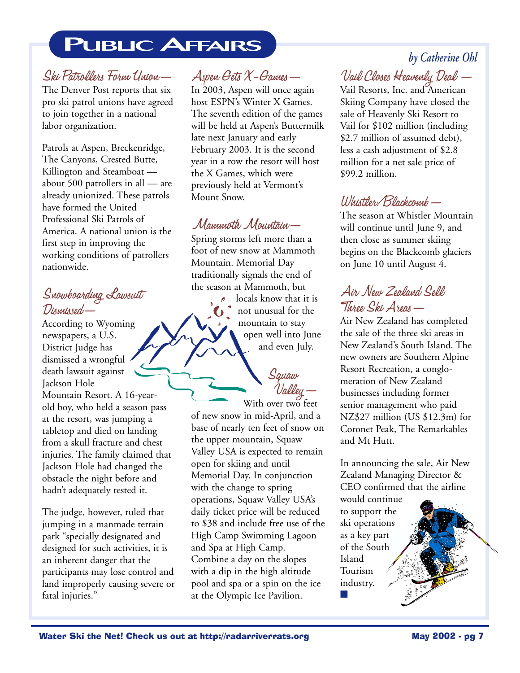# **PUBLIC AFFAIRS**

#### Ski Patrollers Form Union—

The Denver Post reports that six pro ski patrol unions have agreed to join together in a national labor organization.

Patrols at Aspen, Breckenridge, The Canyons, Crested Butte, Killington and Steamboat about 500 patrollers in all — are already unionized. These patrols have formed the United Professional Ski Patrols of America. A national union is the first step in improving the working conditions of patrollers nationwide.

#### Snowboarding Lawsuit Dismissed—

According to Wyoming newspapers, a U.S. District Judge has dismissed a wrongful death lawsuit against Jackson Hole Mountain Resort. A 16-yearold boy, who held a season pass at the resort, was jumping a tabletop and died on landing from a skull fracture and chest injuries. The family claimed that Jackson Hole had changed the obstacle the night before and hadn't adequately tested it.

The judge, however, ruled that jumping in a manmade terrain park "specially designated and designed for such activities, it is an inherent danger that the participants may lose control and land improperly causing severe or fatal injuries."

#### Aspen Gets X-Games—

In 2003, Aspen will once again host ESPN's Winter X Games. The seventh edition of the games will be held at Aspen's Buttermilk late next January and early February 2003. It is the second year in a row the resort will host the X Games, which were previously held at Vermont's Mount Snow.

#### Mammoth Mountain—

Spring storms left more than a foot of new snow at Mammoth Mountain. Memorial Day traditionally signals the end of the season at Mammoth, but

locals know that it is not unusual for the mountain to stay open well into June and even July.

Squaw<br>'Valiley

With over two feet of new snow in mid-April, and a base of nearly ten feet of snow on the upper mountain, Squaw Valley USA is expected to remain open for skiing and until Memorial Day. In conjunction with the change to spring operations, Squaw Valley USA's daily ticket price will be reduced to \$38 and include free use of the High Camp Swimming Lagoon and Spa at High Camp. Combine a day on the slopes with a dip in the high altitude pool and spa or a spin on the ice at the Olympic Ice Pavilion.

### *by Catherine Ohl*

Vail Closes Heavenly Deal —

Vail Resorts, Inc. and American Skiing Company have closed the sale of Heavenly Ski Resort to Vail for \$102 million (including \$2.7 million of assumed debt), less a cash adjustment of \$2.8 million for a net sale price of \$99.2 million.

#### Whistler/Blackcomb—

The season at Whistler Mountain will continue until June 9, and then close as summer skiing begins on the Blackcomb glaciers on June 10 until August 4.

#### Air New Zealand Sell Three Ski Areas—

Air New Zealand has completed the sale of the three ski areas in New Zealand's South Island. The new owners are Southern Alpine Resort Recreation, a conglomeration of New Zealand businesses including former senior management who paid NZ\$27 million (US \$12.3m) for Coronet Peak, The Remarkables and Mt Hutt.

In announcing the sale, Air New Zealand Managing Director & CEO confirmed that the airline

would continue to support the ski operations as a key part of the South Island Tourism industry. ■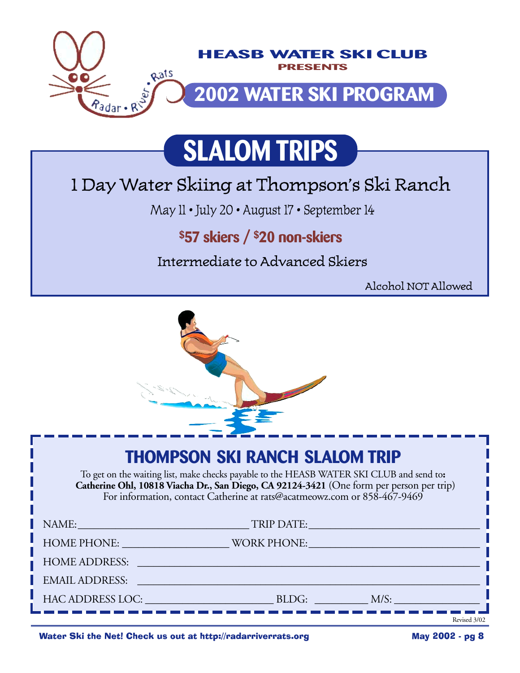

# **SLALOM TRIPS**

# 1 Day Water Skiing at Thompson's Ski Ranch

May 11 • July 20 • August 17 • September 14

### **\$57 skiers / \$20 non-skiers**

Intermediate to Advanced Skiers

Alcohol NOT Allowed



# **THOMPSON SKI RANCH SLALOM TRIP**

To get on the waiting list, make checks payable to the HEASB WATER SKI CLUB and send to**: Catherine Ohl, 10818 Viacha Dr., San Diego, CA 92124-3421** (One form per person per trip) For information, contact Catherine at rats@acatmeowz.com or 858-467-9469

| NAME:                                                                                                                                                                                                                         | <u> 1980 - Johann Barn, marwolaethau a bhann an t-Amhair Aonaich an t-Amhair Aonaich an t-Amhair Aonaich an t-Amh</u> | TRIP DATE: North States of the Community of the Community of the Community of the Community of the Community of the Community of the Community of the Community of the Community of the Community of the Community of the Comm |
|-------------------------------------------------------------------------------------------------------------------------------------------------------------------------------------------------------------------------------|-----------------------------------------------------------------------------------------------------------------------|--------------------------------------------------------------------------------------------------------------------------------------------------------------------------------------------------------------------------------|
| HOME PHONE: NOTE:                                                                                                                                                                                                             |                                                                                                                       | WORK PHONE: NORTH PHONE AND THE CONTROL OF THE CONTROL OF THE CONTROL OF THE CONTROL OF THE CONTROL OF THE CONTROL OF THE CONTROL OF THE CONTROL OF THE CONTROL OF THE CONTROL OF THE CONTROL OF THE CONTROL OF THE CONTROL OF |
| <b>HOME ADDRESS:</b>                                                                                                                                                                                                          |                                                                                                                       |                                                                                                                                                                                                                                |
| <b>EMAIL ADDRESS:</b>                                                                                                                                                                                                         | and the control of the control of the control of the control of the control of the control of the control of the      |                                                                                                                                                                                                                                |
| HAC ADDRESS LOC: The contract of the contract of the contract of the contract of the contract of the contract of the contract of the contract of the contract of the contract of the contract of the contract of the contract |                                                                                                                       | BLDG:<br>$M/S$ :                                                                                                                                                                                                               |
|                                                                                                                                                                                                                               |                                                                                                                       | Revised 3/02                                                                                                                                                                                                                   |

Water Ski the Net! Check us out at http://radarriverrats.org May 2002 - pg 8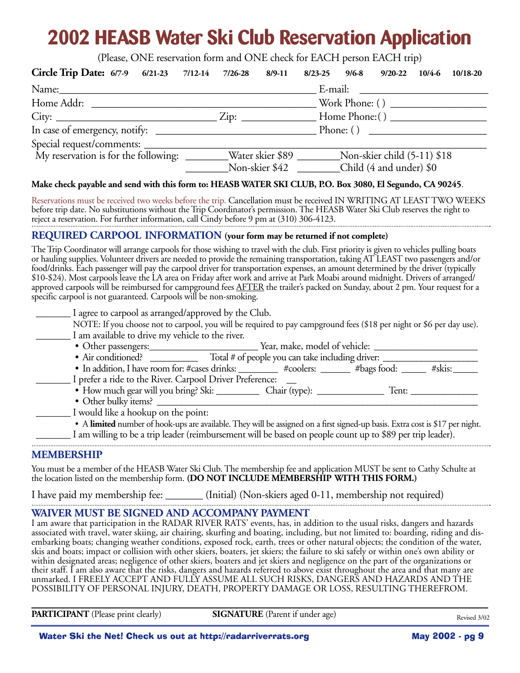# **2002 HEASB Water Ski Club Reservation Application**

(Please, ONE reservation form and ONE check for EACH person EACH trip)

| Circle Trip Date: 6/7-9 6/21-23 7/12-14 7/26-28 8/9-11                                             |                |  | 8/23-25 9/6-8 9/20-22 10/4-6 10/18-20 |                  |
|----------------------------------------------------------------------------------------------------|----------------|--|---------------------------------------|------------------|
|                                                                                                    |                |  |                                       |                  |
| Home Addr:                                                                                         |                |  |                                       | Work Phone: $()$ |
|                                                                                                    |                |  |                                       |                  |
|                                                                                                    |                |  | Phone: ()                             |                  |
|                                                                                                    |                |  |                                       |                  |
| My reservation is for the following: ________Water skier \$89 _________Non-skier child (5-11) \$18 |                |  |                                       |                  |
|                                                                                                    | Non-skier \$42 |  | Child (4 and under) \$0               |                  |

#### **Make check payable and send with this form to: HEASB WATER SKI CLUB, P.O. Box 3080, El Segundo, CA 90245**.

Reservations must be received two weeks before the trip. Cancellation must be received IN WRITING AT LEAST TWO WEEKS before trip date. No substitutions without the Trip Coordinator's permission. The HEASB Water Ski Club reserves the right to reject a reservation. For further information, call Cindy before 9 pm at (310) 306-4123.

#### **REQUIRED CARPOOL INFORMATION (your form may be returned if not complete)**

The Trip Coordinator will arrange carpools for those wishing to travel with the club. First priority is given to vehicles pulling boats or hauling supplies. Volunteer drivers are needed to provide the remaining transportation, taking AT LEAST two passengers and/or food/drinks. Each passenger will pay the carpool driver for transportation expenses, an amount determined by the driver (typically \$10-\$24). Most carpools leave the LA area on Friday after work and arrive at Park Moabi around midnight. Drivers of arranged/ approved carpools will be reimbursed for campground fees AFTER the trailer's packed on Sunday, about 2 pm. Your request for a specific carpool is not guaranteed. Carpools will be non-smoking.

| I agree to carpool as arranged/approved by the Club.                                                                          |       |        |
|-------------------------------------------------------------------------------------------------------------------------------|-------|--------|
| NOTE: If you choose not to carpool, you will be required to pay campground fees (\$18 per night or \$6 per day use).          |       |        |
| I am available to drive my vehicle to the river.                                                                              |       |        |
|                                                                                                                               |       |        |
| • Air conditioned? _______________ Total # of people you can take including driver:                                           |       |        |
| • In addition, I have room for: #cases drinks: _________ #coolers: ______ #bags food: ___                                     |       | #skis: |
| I prefer a ride to the River. Carpool Driver Preference:                                                                      |       |        |
| • How much gear will you bring? Ski: ______________ Chair (type): _____________                                               | Tent: |        |
| • Other bulky items?                                                                                                          |       |        |
| I would like a hookup on the point:                                                                                           |       |        |
| • A limited number of hook-ups are available. They will be assigned on a first signed-up basis. Extra cost is \$17 per night. |       |        |
| I am willing to be a trip leader (reimbursement will be based on people count up to \$89 per trip leader).                    |       |        |

#### **MEMBERSHIP**

You must be a member of the HEASB Water Ski Club. The membership fee and application MUST be sent to Cathy Schulte at the location listed on the membership form. **(DO NOT INCLUDE MEMBERSHIP WITH THIS FORM.)**

I have paid my membership fee: \_\_\_\_\_\_\_ (Initial) (Non-skiers aged 0-11, membership not required)

#### **WAIVER MUST BE SIGNED AND ACCOMPANY PAYMENT**

I am aware that participation in the RADAR RIVER RATS' events, has, in addition to the usual risks, dangers and hazards associated with travel, water skiing, air chairing, skurfing and boating, including, but not limited to: boarding, riding and disembarking boats; changing weather conditions, exposed rock, earth, trees or other natural objects; the condition of the water, skis and boats; impact or collision with other skiers, boaters, jet skiers; the failure to ski safely or within one's own ability or within designated areas; negligence of other skiers, boaters and jet skiers and negligence on the part of the organizations or their staff. I am also aware that the risks, dangers and hazards referred to above exist throughout the area and that many are unmarked. I FREELY ACCEPT AND FULLY ASSUME ALL SUCH RISKS, DANGERS AND HAZARDS AND THE POSSIBILITY OF PERSONAL INJURY, DEATH, PROPERTY DAMAGE OR LOSS, RESULTING THEREFROM.

**PARTICIPANT** (Please print clearly) **SIGNATURE** (Parent if under age)